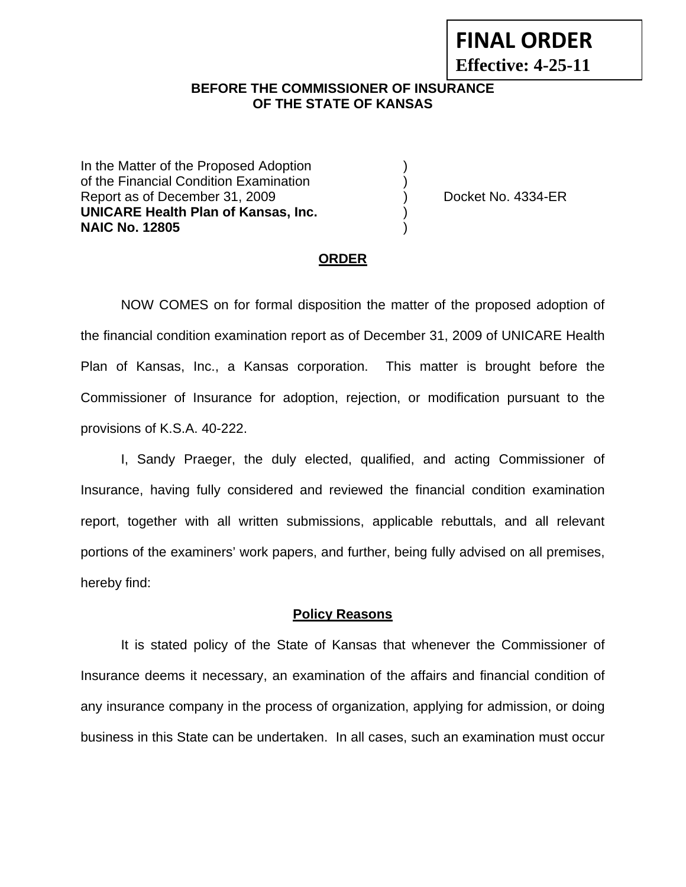# **FINAL ORDER Effective: 4-25-11**

### **BEFORE THE COMMISSIONER OF INSURANCE OF THE STATE OF KANSAS**

In the Matter of the Proposed Adoption of the Financial Condition Examination ) Report as of December 31, 2009 (and Contact Contact Contact No. 4334-ER **UNICARE Health Plan of Kansas, Inc.** ) **NAIC No. 12805** )

#### **ORDER**

 NOW COMES on for formal disposition the matter of the proposed adoption of the financial condition examination report as of December 31, 2009 of UNICARE Health Plan of Kansas, Inc., a Kansas corporation. This matter is brought before the Commissioner of Insurance for adoption, rejection, or modification pursuant to the provisions of K.S.A. 40-222.

 I, Sandy Praeger, the duly elected, qualified, and acting Commissioner of Insurance, having fully considered and reviewed the financial condition examination report, together with all written submissions, applicable rebuttals, and all relevant portions of the examiners' work papers, and further, being fully advised on all premises, hereby find:

#### **Policy Reasons**

 It is stated policy of the State of Kansas that whenever the Commissioner of Insurance deems it necessary, an examination of the affairs and financial condition of any insurance company in the process of organization, applying for admission, or doing business in this State can be undertaken. In all cases, such an examination must occur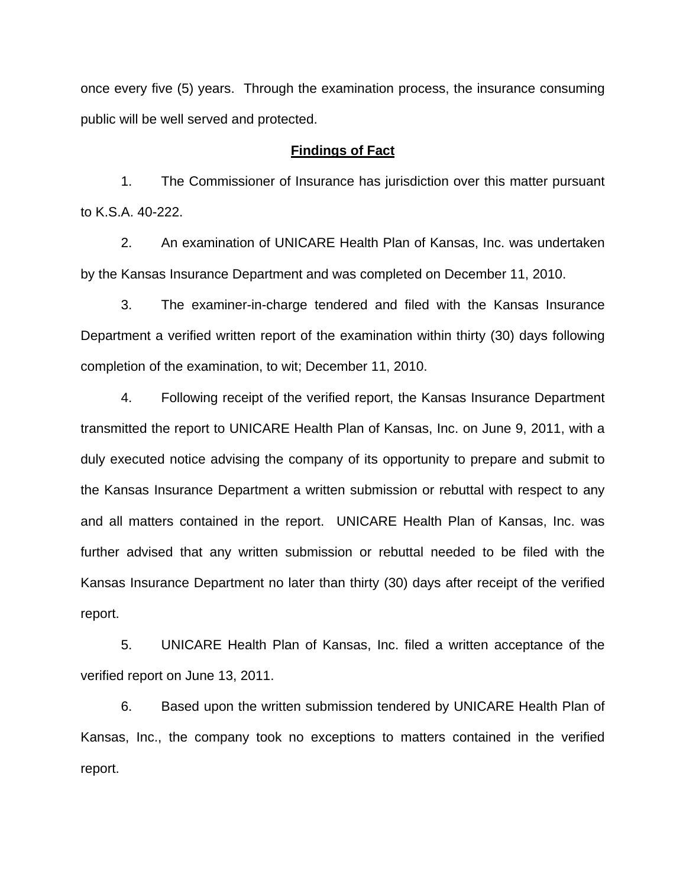once every five (5) years. Through the examination process, the insurance consuming public will be well served and protected.

#### **Findings of Fact**

 1. The Commissioner of Insurance has jurisdiction over this matter pursuant to K.S.A. 40-222.

 2. An examination of UNICARE Health Plan of Kansas, Inc. was undertaken by the Kansas Insurance Department and was completed on December 11, 2010.

 3. The examiner-in-charge tendered and filed with the Kansas Insurance Department a verified written report of the examination within thirty (30) days following completion of the examination, to wit; December 11, 2010.

 4. Following receipt of the verified report, the Kansas Insurance Department transmitted the report to UNICARE Health Plan of Kansas, Inc. on June 9, 2011, with a duly executed notice advising the company of its opportunity to prepare and submit to the Kansas Insurance Department a written submission or rebuttal with respect to any and all matters contained in the report. UNICARE Health Plan of Kansas, Inc. was further advised that any written submission or rebuttal needed to be filed with the Kansas Insurance Department no later than thirty (30) days after receipt of the verified report.

 5. UNICARE Health Plan of Kansas, Inc. filed a written acceptance of the verified report on June 13, 2011.

6. Based upon the written submission tendered by UNICARE Health Plan of Kansas, Inc., the company took no exceptions to matters contained in the verified report.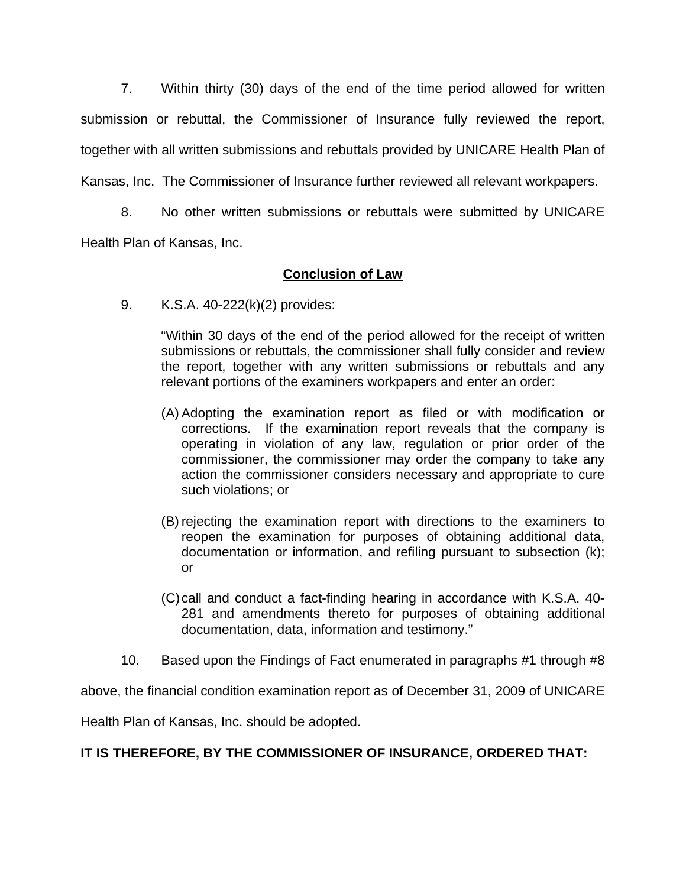7. Within thirty (30) days of the end of the time period allowed for written submission or rebuttal, the Commissioner of Insurance fully reviewed the report, together with all written submissions and rebuttals provided by UNICARE Health Plan of Kansas, Inc. The Commissioner of Insurance further reviewed all relevant workpapers.

 8. No other written submissions or rebuttals were submitted by UNICARE Health Plan of Kansas, Inc.

## **Conclusion of Law**

9. K.S.A. 40-222(k)(2) provides:

"Within 30 days of the end of the period allowed for the receipt of written submissions or rebuttals, the commissioner shall fully consider and review the report, together with any written submissions or rebuttals and any relevant portions of the examiners workpapers and enter an order:

- (A) Adopting the examination report as filed or with modification or corrections. If the examination report reveals that the company is operating in violation of any law, regulation or prior order of the commissioner, the commissioner may order the company to take any action the commissioner considers necessary and appropriate to cure such violations; or
- (B) rejecting the examination report with directions to the examiners to reopen the examination for purposes of obtaining additional data, documentation or information, and refiling pursuant to subsection (k); or
- (C) call and conduct a fact-finding hearing in accordance with K.S.A. 40- 281 and amendments thereto for purposes of obtaining additional documentation, data, information and testimony."
- 10. Based upon the Findings of Fact enumerated in paragraphs #1 through #8

above, the financial condition examination report as of December 31, 2009 of UNICARE

Health Plan of Kansas, Inc. should be adopted.

## **IT IS THEREFORE, BY THE COMMISSIONER OF INSURANCE, ORDERED THAT:**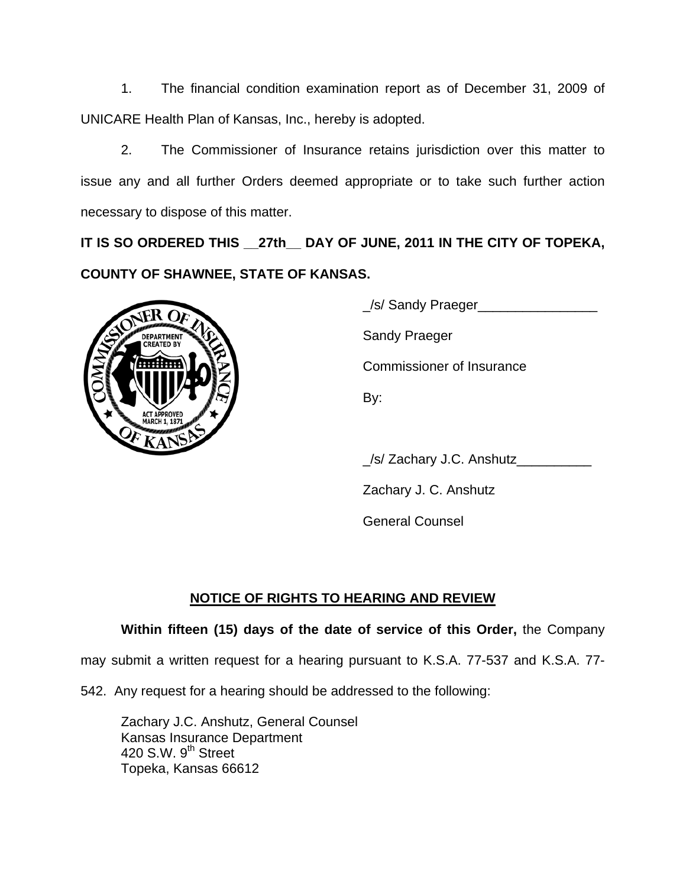1. The financial condition examination report as of December 31, 2009 of UNICARE Health Plan of Kansas, Inc., hereby is adopted.

 2. The Commissioner of Insurance retains jurisdiction over this matter to issue any and all further Orders deemed appropriate or to take such further action necessary to dispose of this matter.

**IT IS SO ORDERED THIS \_\_27th\_\_ DAY OF JUNE, 2011 IN THE CITY OF TOPEKA, COUNTY OF SHAWNEE, STATE OF KANSAS.** 



\_/s/ Sandy Praeger\_\_\_\_\_\_\_\_\_\_\_\_\_\_\_\_

Commissioner of Insurance

\_/s/ Zachary J.C. Anshutz\_\_\_\_\_\_\_\_\_\_

Zachary J. C. Anshutz

General Counsel

# **NOTICE OF RIGHTS TO HEARING AND REVIEW**

# **Within fifteen (15) days of the date of service of this Order,** the Company

may submit a written request for a hearing pursuant to K.S.A. 77-537 and K.S.A. 77-

542. Any request for a hearing should be addressed to the following:

 Zachary J.C. Anshutz, General Counsel Kansas Insurance Department 420 S.W.  $9<sup>th</sup>$  Street Topeka, Kansas 66612